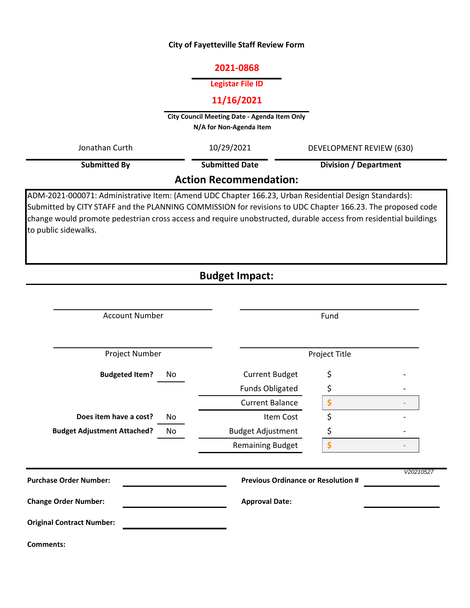## **City of Fayetteville Staff Review Form**

### **2021-0868**

#### **Legistar File ID**

# **11/16/2021**

**City Council Meeting Date - Agenda Item Only N/A for Non-Agenda Item** 

| Jonathan Curth                | 10/29/2021<br>DEVELOPMENT REVIEW (630) |                              |  |  |
|-------------------------------|----------------------------------------|------------------------------|--|--|
| Submitted By                  | <b>Submitted Date</b>                  | <b>Division / Department</b> |  |  |
| <b>Action Recommendation:</b> |                                        |                              |  |  |

ADM-2021-000071: Administrative Item: (Amend UDC Chapter 166.23, Urban Residential Design Standards): Submitted by CITY STAFF and the PLANNING COMMISSION for revisions to UDC Chapter 166.23. The proposed code change would promote pedestrian cross access and require unobstructed, durable access from residential buildings to public sidewalks.

# **Budget Impact:**

| <b>Account Number</b>              |    | Fund                                      |    |           |
|------------------------------------|----|-------------------------------------------|----|-----------|
| Project Number                     |    | Project Title                             |    |           |
| <b>Budgeted Item?</b>              | No | <b>Current Budget</b>                     | \$ |           |
|                                    |    | <b>Funds Obligated</b>                    | \$ |           |
|                                    |    | <b>Current Balance</b>                    | \$ |           |
| Does item have a cost?             | No | Item Cost                                 | \$ |           |
| <b>Budget Adjustment Attached?</b> | No | <b>Budget Adjustment</b>                  | \$ |           |
|                                    |    | <b>Remaining Budget</b>                   | \$ |           |
| <b>Purchase Order Number:</b>      |    | <b>Previous Ordinance or Resolution #</b> |    | V20210527 |
| <b>Change Order Number:</b>        |    | <b>Approval Date:</b>                     |    |           |
| <b>Original Contract Number:</b>   |    |                                           |    |           |
| <b>Comments:</b>                   |    |                                           |    |           |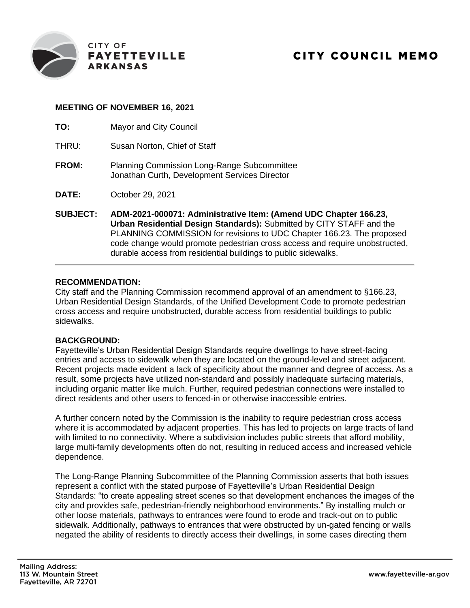

## **MEETING OF NOVEMBER 16, 2021**

| TO:             | Mayor and City Council                                                                                                                                                                                                                                                                                                                                             |
|-----------------|--------------------------------------------------------------------------------------------------------------------------------------------------------------------------------------------------------------------------------------------------------------------------------------------------------------------------------------------------------------------|
| THRU:           | Susan Norton, Chief of Staff                                                                                                                                                                                                                                                                                                                                       |
| <b>FROM:</b>    | <b>Planning Commission Long-Range Subcommittee</b><br>Jonathan Curth, Development Services Director                                                                                                                                                                                                                                                                |
| DATE:           | October 29, 2021                                                                                                                                                                                                                                                                                                                                                   |
| <b>SUBJECT:</b> | ADM-2021-000071: Administrative Item: (Amend UDC Chapter 166.23,<br>Urban Residential Design Standards): Submitted by CITY STAFF and the<br>PLANNING COMMISSION for revisions to UDC Chapter 166.23. The proposed<br>code change would promote pedestrian cross access and require unobstructed,<br>durable access from residential buildings to public sidewalks. |

#### **RECOMMENDATION:**

City staff and the Planning Commission recommend approval of an amendment to §166.23, Urban Residential Design Standards, of the Unified Development Code to promote pedestrian cross access and require unobstructed, durable access from residential buildings to public sidewalks.

## **BACKGROUND:**

Fayetteville's Urban Residential Design Standards require dwellings to have street-facing entries and access to sidewalk when they are located on the ground-level and street adjacent. Recent projects made evident a lack of specificity about the manner and degree of access. As a result, some projects have utilized non-standard and possibly inadequate surfacing materials, including organic matter like mulch. Further, required pedestrian connections were installed to direct residents and other users to fenced-in or otherwise inaccessible entries.

A further concern noted by the Commission is the inability to require pedestrian cross access where it is accommodated by adjacent properties. This has led to projects on large tracts of land with limited to no connectivity. Where a subdivision includes public streets that afford mobility, large multi-family developments often do not, resulting in reduced access and increased vehicle dependence.

The Long-Range Planning Subcommittee of the Planning Commission asserts that both issues represent a conflict with the stated purpose of Fayetteville's Urban Residential Design Standards: "to create appealing street scenes so that development enchances the images of the city and provides safe, pedestrian-friendly neighborhood environments." By installing mulch or other loose materials, pathways to entrances were found to erode and track-out on to public sidewalk. Additionally, pathways to entrances that were obstructed by un-gated fencing or walls negated the ability of residents to directly access their dwellings, in some cases directing them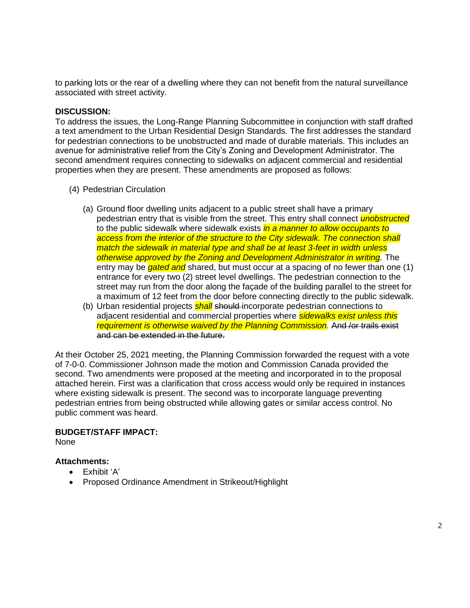to parking lots or the rear of a dwelling where they can not benefit from the natural surveillance associated with street activity.

#### **DISCUSSION:**

To address the issues, the Long-Range Planning Subcommittee in conjunction with staff drafted a text amendment to the Urban Residential Design Standards. The first addresses the standard for pedestrian connections to be unobstructed and made of durable materials. This includes an avenue for administrative relief from the City's Zoning and Development Administrator. The second amendment requires connecting to sidewalks on adjacent commercial and residential properties when they are present. These amendments are proposed as follows:

- (4) Pedestrian Circulation
	- (a) Ground floor dwelling units adjacent to a public street shall have a primary pedestrian entry that is visible from the street. This entry shall connect *unobstructed* to the public sidewalk where sidewalk exists *in a manner to allow occupants to access from the interior of the structure to the City sidewalk. The connection shall match the sidewalk in material type and shall be at least 3-feet in width unless otherwise approved by the Zoning and Development Administrator in writing.* The entry may be *gated and* shared, but must occur at a spacing of no fewer than one (1) entrance for every two (2) street level dwellings. The pedestrian connection to the street may run from the door along the façade of the building parallel to the street for a maximum of 12 feet from the door before connecting directly to the public sidewalk.
	- (b) Urban residential projects *shall* should incorporate pedestrian connections to adjacent residential and commercial properties where *sidewalks exist unless this requirement is otherwise waived by the Planning Commission.* And /or trails exist and can be extended in the future.

At their October 25, 2021 meeting, the Planning Commission forwarded the request with a vote of 7-0-0. Commissioner Johnson made the motion and Commission Canada provided the second. Two amendments were proposed at the meeting and incorporated in to the proposal attached herein. First was a clarification that cross access would only be required in instances where existing sidewalk is present. The second was to incorporate language preventing pedestrian entries from being obstructed while allowing gates or similar access control. No public comment was heard.

#### **BUDGET/STAFF IMPACT:**

None

## **Attachments:**

- Exhibit 'A'
- Proposed Ordinance Amendment in Strikeout/Highlight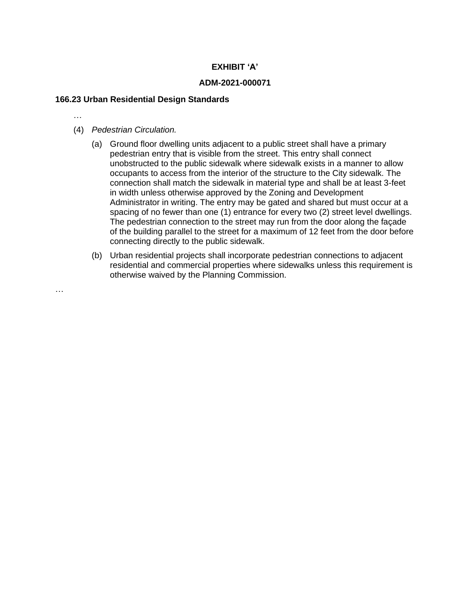## **EXHIBIT 'A'**

### **ADM-2021-000071**

#### **166.23 Urban Residential Design Standards**

…

…

- (4) *Pedestrian Circulation.*
	- (a) Ground floor dwelling units adjacent to a public street shall have a primary pedestrian entry that is visible from the street. This entry shall connect unobstructed to the public sidewalk where sidewalk exists in a manner to allow occupants to access from the interior of the structure to the City sidewalk. The connection shall match the sidewalk in material type and shall be at least 3-feet in width unless otherwise approved by the Zoning and Development Administrator in writing. The entry may be gated and shared but must occur at a spacing of no fewer than one (1) entrance for every two (2) street level dwellings. The pedestrian connection to the street may run from the door along the façade of the building parallel to the street for a maximum of 12 feet from the door before connecting directly to the public sidewalk.
	- (b) Urban residential projects shall incorporate pedestrian connections to adjacent residential and commercial properties where sidewalks unless this requirement is otherwise waived by the Planning Commission.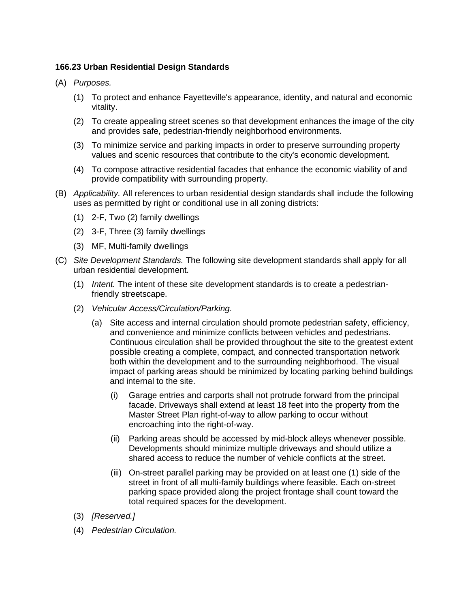## **166.23 Urban Residential Design Standards**

- (A) *Purposes.*
	- (1) To protect and enhance Fayetteville's appearance, identity, and natural and economic vitality.
	- (2) To create appealing street scenes so that development enhances the image of the city and provides safe, pedestrian-friendly neighborhood environments.
	- (3) To minimize service and parking impacts in order to preserve surrounding property values and scenic resources that contribute to the city's economic development.
	- (4) To compose attractive residential facades that enhance the economic viability of and provide compatibility with surrounding property.
- (B) *Applicability.* All references to urban residential design standards shall include the following uses as permitted by right or conditional use in all zoning districts:
	- (1) 2-F, Two (2) family dwellings
	- (2) 3-F, Three (3) family dwellings
	- (3) MF, Multi-family dwellings
- (C) *Site Development Standards.* The following site development standards shall apply for all urban residential development.
	- (1) *Intent.* The intent of these site development standards is to create a pedestrianfriendly streetscape.
	- (2) *Vehicular Access/Circulation/Parking.*
		- (a) Site access and internal circulation should promote pedestrian safety, efficiency, and convenience and minimize conflicts between vehicles and pedestrians. Continuous circulation shall be provided throughout the site to the greatest extent possible creating a complete, compact, and connected transportation network both within the development and to the surrounding neighborhood. The visual impact of parking areas should be minimized by locating parking behind buildings and internal to the site.
			- (i) Garage entries and carports shall not protrude forward from the principal facade. Driveways shall extend at least 18 feet into the property from the Master Street Plan right-of-way to allow parking to occur without encroaching into the right-of-way.
			- (ii) Parking areas should be accessed by mid-block alleys whenever possible. Developments should minimize multiple driveways and should utilize a shared access to reduce the number of vehicle conflicts at the street.
			- (iii) On-street parallel parking may be provided on at least one (1) side of the street in front of all multi-family buildings where feasible. Each on-street parking space provided along the project frontage shall count toward the total required spaces for the development.
	- (3) *[Reserved.]*
	- (4) *Pedestrian Circulation.*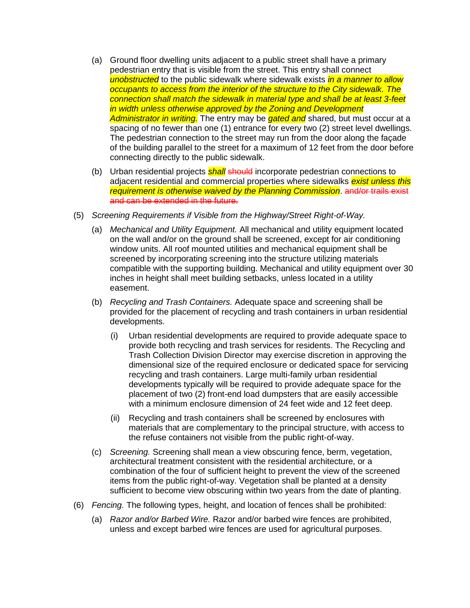- (a) Ground floor dwelling units adjacent to a public street shall have a primary pedestrian entry that is visible from the street. This entry shall connect *unobstructed* to the public sidewalk where sidewalk exists *in a manner to allow occupants to access from the interior of the structure to the City sidewalk. The connection shall match the sidewalk in material type and shall be at least 3-feet in width unless otherwise approved by the Zoning and Development Administrator in writing.* The entry may be *gated and* shared, but must occur at a spacing of no fewer than one (1) entrance for every two (2) street level dwellings. The pedestrian connection to the street may run from the door along the façade of the building parallel to the street for a maximum of 12 feet from the door before connecting directly to the public sidewalk.
- (b) Urban residential projects *shall* should incorporate pedestrian connections to adjacent residential and commercial properties where sidewalks *exist unless this requirement is otherwise waived by the Planning Commission*. and/or trails exist and can be extended in the future.
- (5) *Screening Requirements if Visible from the Highway/Street Right-of-Way.*
	- (a) *Mechanical and Utility Equipment.* All mechanical and utility equipment located on the wall and/or on the ground shall be screened, except for air conditioning window units. All roof mounted utilities and mechanical equipment shall be screened by incorporating screening into the structure utilizing materials compatible with the supporting building. Mechanical and utility equipment over 30 inches in height shall meet building setbacks, unless located in a utility easement.
	- (b) *Recycling and Trash Containers.* Adequate space and screening shall be provided for the placement of recycling and trash containers in urban residential developments.
		- (i) Urban residential developments are required to provide adequate space to provide both recycling and trash services for residents. The Recycling and Trash Collection Division Director may exercise discretion in approving the dimensional size of the required enclosure or dedicated space for servicing recycling and trash containers. Large multi-family urban residential developments typically will be required to provide adequate space for the placement of two (2) front-end load dumpsters that are easily accessible with a minimum enclosure dimension of 24 feet wide and 12 feet deep.
		- (ii) Recycling and trash containers shall be screened by enclosures with materials that are complementary to the principal structure, with access to the refuse containers not visible from the public right-of-way.
	- (c) *Screening.* Screening shall mean a view obscuring fence, berm, vegetation, architectural treatment consistent with the residential architecture, or a combination of the four of sufficient height to prevent the view of the screened items from the public right-of-way. Vegetation shall be planted at a density sufficient to become view obscuring within two years from the date of planting.
- (6) *Fencing.* The following types, height, and location of fences shall be prohibited:
	- (a) *Razor and/or Barbed Wire.* Razor and/or barbed wire fences are prohibited, unless and except barbed wire fences are used for agricultural purposes.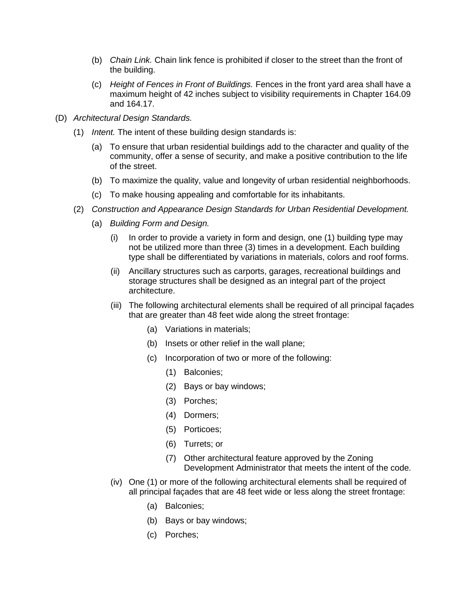- (b) *Chain Link.* Chain link fence is prohibited if closer to the street than the front of the building.
- (c) *Height of Fences in Front of Buildings.* Fences in the front yard area shall have a maximum height of 42 inches subject to visibility requirements in Chapter 164.09 and 164.17.
- (D) *Architectural Design Standards.*
	- (1) *Intent.* The intent of these building design standards is:
		- (a) To ensure that urban residential buildings add to the character and quality of the community, offer a sense of security, and make a positive contribution to the life of the street.
		- (b) To maximize the quality, value and longevity of urban residential neighborhoods.
		- (c) To make housing appealing and comfortable for its inhabitants.
	- (2) *Construction and Appearance Design Standards for Urban Residential Development.*
		- (a) *Building Form and Design.*
			- (i) In order to provide a variety in form and design, one (1) building type may not be utilized more than three (3) times in a development. Each building type shall be differentiated by variations in materials, colors and roof forms.
			- (ii) Ancillary structures such as carports, garages, recreational buildings and storage structures shall be designed as an integral part of the project architecture.
			- (iii) The following architectural elements shall be required of all principal façades that are greater than 48 feet wide along the street frontage:
				- (a) Variations in materials;
				- (b) Insets or other relief in the wall plane;
				- (c) Incorporation of two or more of the following:
					- (1) Balconies;
					- (2) Bays or bay windows;
					- (3) Porches;
					- (4) Dormers;
					- (5) Porticoes;
					- (6) Turrets; or
					- (7) Other architectural feature approved by the Zoning Development Administrator that meets the intent of the code.
			- (iv) One (1) or more of the following architectural elements shall be required of all principal façades that are 48 feet wide or less along the street frontage:
				- (a) Balconies;
				- (b) Bays or bay windows;
				- (c) Porches;